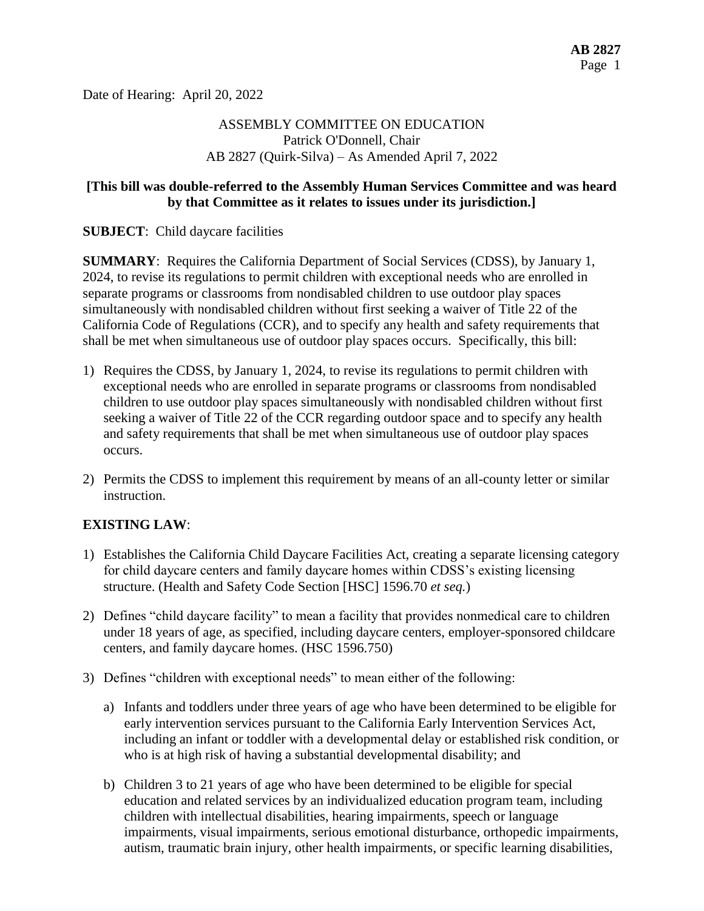Date of Hearing: April 20, 2022

# ASSEMBLY COMMITTEE ON EDUCATION Patrick O'Donnell, Chair AB 2827 (Quirk-Silva) – As Amended April 7, 2022

### **[This bill was double-referred to the Assembly Human Services Committee and was heard by that Committee as it relates to issues under its jurisdiction.]**

**SUBJECT**: Child daycare facilities

**SUMMARY**: Requires the California Department of Social Services (CDSS), by January 1, 2024, to revise its regulations to permit children with exceptional needs who are enrolled in separate programs or classrooms from nondisabled children to use outdoor play spaces simultaneously with nondisabled children without first seeking a waiver of Title 22 of the California Code of Regulations (CCR), and to specify any health and safety requirements that shall be met when simultaneous use of outdoor play spaces occurs. Specifically, this bill:

- 1) Requires the CDSS, by January 1, 2024, to revise its regulations to permit children with exceptional needs who are enrolled in separate programs or classrooms from nondisabled children to use outdoor play spaces simultaneously with nondisabled children without first seeking a waiver of Title 22 of the CCR regarding outdoor space and to specify any health and safety requirements that shall be met when simultaneous use of outdoor play spaces occurs.
- 2) Permits the CDSS to implement this requirement by means of an all-county letter or similar instruction.

# **EXISTING LAW**:

- 1) Establishes the California Child Daycare Facilities Act, creating a separate licensing category for child daycare centers and family daycare homes within CDSS's existing licensing structure. (Health and Safety Code Section [HSC] 1596.70 *et seq.*)
- 2) Defines "child daycare facility" to mean a facility that provides nonmedical care to children under 18 years of age, as specified, including daycare centers, employer-sponsored childcare centers, and family daycare homes. (HSC 1596.750)
- 3) Defines "children with exceptional needs" to mean either of the following:
	- a) Infants and toddlers under three years of age who have been determined to be eligible for early intervention services pursuant to the California Early Intervention Services Act, including an infant or toddler with a developmental delay or established risk condition, or who is at high risk of having a substantial developmental disability; and
	- b) Children 3 to 21 years of age who have been determined to be eligible for special education and related services by an individualized education program team, including children with intellectual disabilities, hearing impairments, speech or language impairments, visual impairments, serious emotional disturbance, orthopedic impairments, autism, traumatic brain injury, other health impairments, or specific learning disabilities,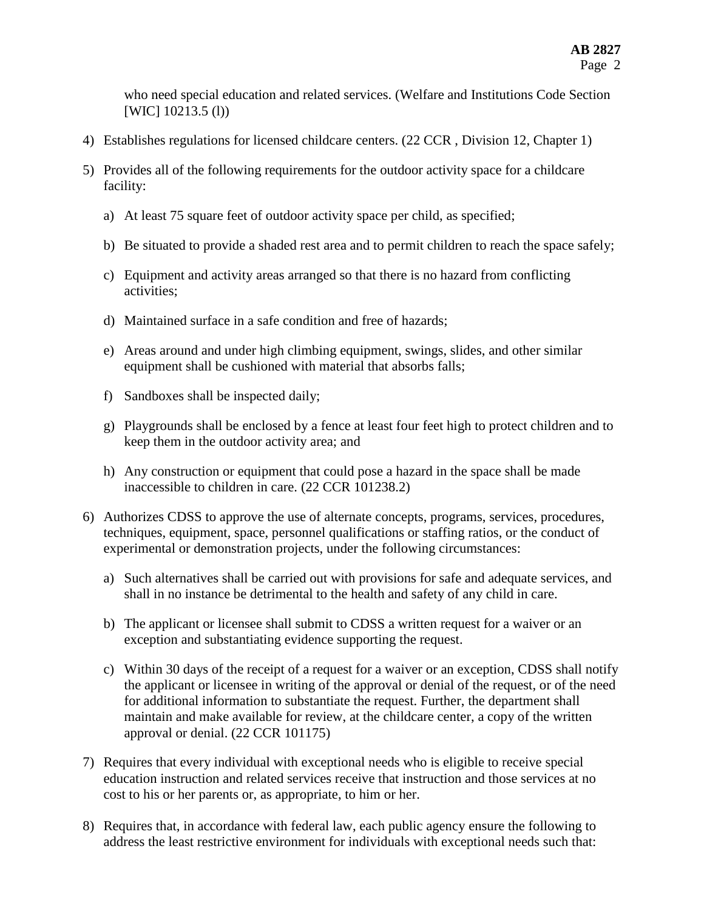who need special education and related services. (Welfare and Institutions Code Section [WIC] 10213.5 (l))

- 4) Establishes regulations for licensed childcare centers. (22 CCR , Division 12, Chapter 1)
- 5) Provides all of the following requirements for the outdoor activity space for a childcare facility:
	- a) At least 75 square feet of outdoor activity space per child, as specified;
	- b) Be situated to provide a shaded rest area and to permit children to reach the space safely;
	- c) Equipment and activity areas arranged so that there is no hazard from conflicting activities;
	- d) Maintained surface in a safe condition and free of hazards;
	- e) Areas around and under high climbing equipment, swings, slides, and other similar equipment shall be cushioned with material that absorbs falls;
	- f) Sandboxes shall be inspected daily;
	- g) Playgrounds shall be enclosed by a fence at least four feet high to protect children and to keep them in the outdoor activity area; and
	- h) Any construction or equipment that could pose a hazard in the space shall be made inaccessible to children in care. (22 CCR 101238.2)
- 6) Authorizes CDSS to approve the use of alternate concepts, programs, services, procedures, techniques, equipment, space, personnel qualifications or staffing ratios, or the conduct of experimental or demonstration projects, under the following circumstances:
	- a) Such alternatives shall be carried out with provisions for safe and adequate services, and shall in no instance be detrimental to the health and safety of any child in care.
	- b) The applicant or licensee shall submit to CDSS a written request for a waiver or an exception and substantiating evidence supporting the request.
	- c) Within 30 days of the receipt of a request for a waiver or an exception, CDSS shall notify the applicant or licensee in writing of the approval or denial of the request, or of the need for additional information to substantiate the request. Further, the department shall maintain and make available for review, at the childcare center, a copy of the written approval or denial. (22 CCR 101175)
- 7) Requires that every individual with exceptional needs who is eligible to receive special education instruction and related services receive that instruction and those services at no cost to his or her parents or, as appropriate, to him or her.
- 8) Requires that, in accordance with federal law, each public agency ensure the following to address the least restrictive environment for individuals with exceptional needs such that: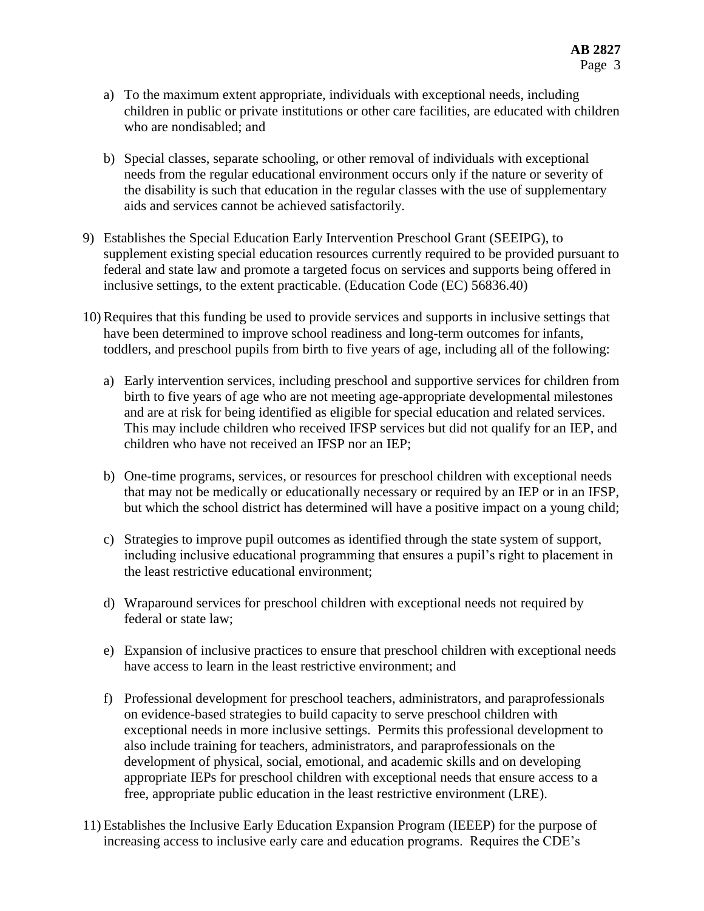- a) To the maximum extent appropriate, individuals with exceptional needs, including children in public or private institutions or other care facilities, are educated with children who are nondisabled; and
- b) Special classes, separate schooling, or other removal of individuals with exceptional needs from the regular educational environment occurs only if the nature or severity of the disability is such that education in the regular classes with the use of supplementary aids and services cannot be achieved satisfactorily.
- 9) Establishes the Special Education Early Intervention Preschool Grant (SEEIPG), to supplement existing special education resources currently required to be provided pursuant to federal and state law and promote a targeted focus on services and supports being offered in inclusive settings, to the extent practicable. (Education Code (EC) 56836.40)
- 10) Requires that this funding be used to provide services and supports in inclusive settings that have been determined to improve school readiness and long-term outcomes for infants, toddlers, and preschool pupils from birth to five years of age, including all of the following:
	- a) Early intervention services, including preschool and supportive services for children from birth to five years of age who are not meeting age-appropriate developmental milestones and are at risk for being identified as eligible for special education and related services. This may include children who received IFSP services but did not qualify for an IEP, and children who have not received an IFSP nor an IEP;
	- b) One-time programs, services, or resources for preschool children with exceptional needs that may not be medically or educationally necessary or required by an IEP or in an IFSP, but which the school district has determined will have a positive impact on a young child;
	- c) Strategies to improve pupil outcomes as identified through the state system of support, including inclusive educational programming that ensures a pupil's right to placement in the least restrictive educational environment;
	- d) Wraparound services for preschool children with exceptional needs not required by federal or state law;
	- e) Expansion of inclusive practices to ensure that preschool children with exceptional needs have access to learn in the least restrictive environment; and
	- f) Professional development for preschool teachers, administrators, and paraprofessionals on evidence-based strategies to build capacity to serve preschool children with exceptional needs in more inclusive settings. Permits this professional development to also include training for teachers, administrators, and paraprofessionals on the development of physical, social, emotional, and academic skills and on developing appropriate IEPs for preschool children with exceptional needs that ensure access to a free, appropriate public education in the least restrictive environment (LRE).
- 11) Establishes the Inclusive Early Education Expansion Program (IEEEP) for the purpose of increasing access to inclusive early care and education programs. Requires the CDE's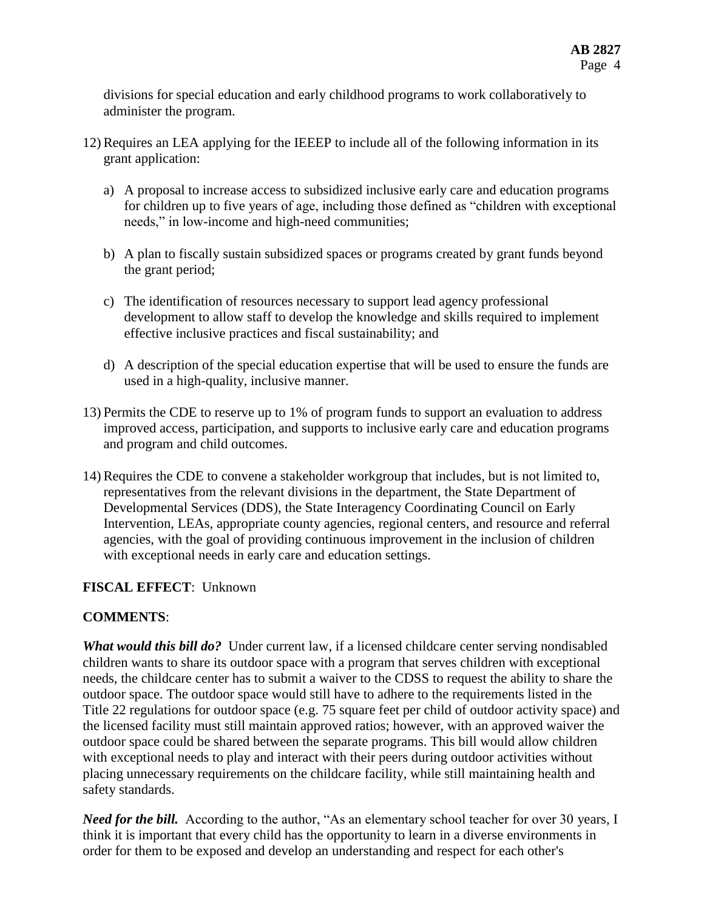divisions for special education and early childhood programs to work collaboratively to administer the program.

- 12) Requires an LEA applying for the IEEEP to include all of the following information in its grant application:
	- a) A proposal to increase access to subsidized inclusive early care and education programs for children up to five years of age, including those defined as "children with exceptional needs," in low-income and high-need communities;
	- b) A plan to fiscally sustain subsidized spaces or programs created by grant funds beyond the grant period;
	- c) The identification of resources necessary to support lead agency professional development to allow staff to develop the knowledge and skills required to implement effective inclusive practices and fiscal sustainability; and
	- d) A description of the special education expertise that will be used to ensure the funds are used in a high-quality, inclusive manner.
- 13) Permits the CDE to reserve up to 1% of program funds to support an evaluation to address improved access, participation, and supports to inclusive early care and education programs and program and child outcomes.
- 14) Requires the CDE to convene a stakeholder workgroup that includes, but is not limited to, representatives from the relevant divisions in the department, the State Department of Developmental Services (DDS), the State Interagency Coordinating Council on Early Intervention, LEAs, appropriate county agencies, regional centers, and resource and referral agencies, with the goal of providing continuous improvement in the inclusion of children with exceptional needs in early care and education settings.

# **FISCAL EFFECT**: Unknown

# **COMMENTS**:

*What would this bill do?* Under current law, if a licensed childcare center serving nondisabled children wants to share its outdoor space with a program that serves children with exceptional needs, the childcare center has to submit a waiver to the CDSS to request the ability to share the outdoor space. The outdoor space would still have to adhere to the requirements listed in the Title 22 regulations for outdoor space (e.g. 75 square feet per child of outdoor activity space) and the licensed facility must still maintain approved ratios; however, with an approved waiver the outdoor space could be shared between the separate programs. This bill would allow children with exceptional needs to play and interact with their peers during outdoor activities without placing unnecessary requirements on the childcare facility, while still maintaining health and safety standards.

*Need for the bill.* According to the author, "As an elementary school teacher for over 30 years, I think it is important that every child has the opportunity to learn in a diverse environments in order for them to be exposed and develop an understanding and respect for each other's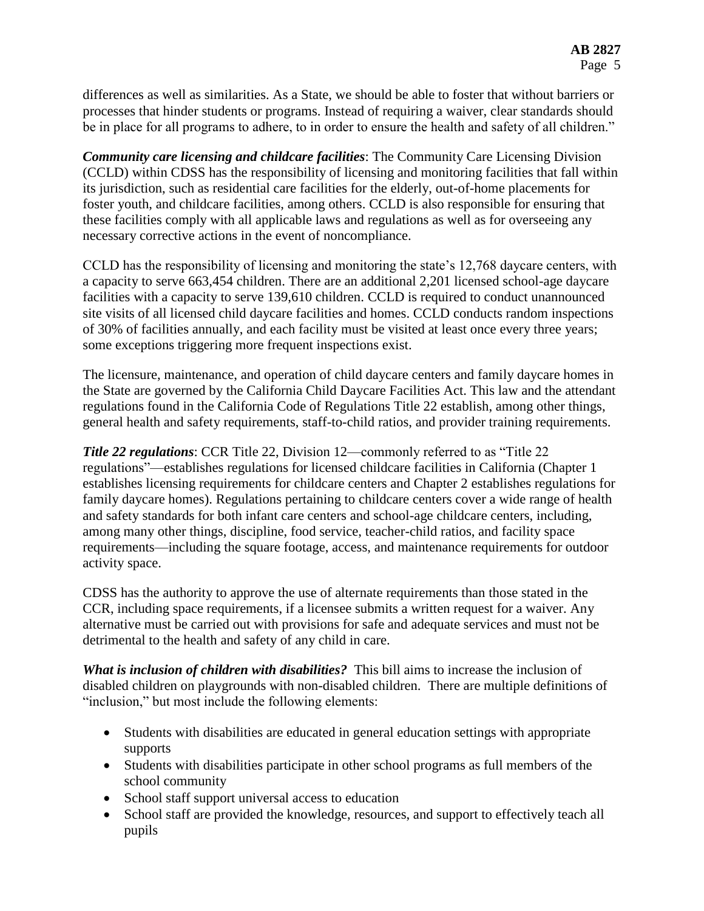differences as well as similarities. As a State, we should be able to foster that without barriers or processes that hinder students or programs. Instead of requiring a waiver, clear standards should be in place for all programs to adhere, to in order to ensure the health and safety of all children."

*Community care licensing and childcare facilities*: The Community Care Licensing Division (CCLD) within CDSS has the responsibility of licensing and monitoring facilities that fall within its jurisdiction, such as residential care facilities for the elderly, out-of-home placements for foster youth, and childcare facilities, among others. CCLD is also responsible for ensuring that these facilities comply with all applicable laws and regulations as well as for overseeing any necessary corrective actions in the event of noncompliance.

CCLD has the responsibility of licensing and monitoring the state's 12,768 daycare centers, with a capacity to serve 663,454 children. There are an additional 2,201 licensed school-age daycare facilities with a capacity to serve 139,610 children. CCLD is required to conduct unannounced site visits of all licensed child daycare facilities and homes. CCLD conducts random inspections of 30% of facilities annually, and each facility must be visited at least once every three years; some exceptions triggering more frequent inspections exist.

The licensure, maintenance, and operation of child daycare centers and family daycare homes in the State are governed by the California Child Daycare Facilities Act. This law and the attendant regulations found in the California Code of Regulations Title 22 establish, among other things, general health and safety requirements, staff-to-child ratios, and provider training requirements.

*Title 22 regulations*: CCR Title 22, Division 12—commonly referred to as "Title 22 regulations"—establishes regulations for licensed childcare facilities in California (Chapter 1 establishes licensing requirements for childcare centers and Chapter 2 establishes regulations for family daycare homes). Regulations pertaining to childcare centers cover a wide range of health and safety standards for both infant care centers and school-age childcare centers, including, among many other things, discipline, food service, teacher-child ratios, and facility space requirements—including the square footage, access, and maintenance requirements for outdoor activity space.

CDSS has the authority to approve the use of alternate requirements than those stated in the CCR, including space requirements, if a licensee submits a written request for a waiver. Any alternative must be carried out with provisions for safe and adequate services and must not be detrimental to the health and safety of any child in care.

*What is inclusion of children with disabilities?* This bill aims to increase the inclusion of disabled children on playgrounds with non-disabled children. There are multiple definitions of "inclusion," but most include the following elements:

- Students with disabilities are educated in general education settings with appropriate supports
- Students with disabilities participate in other school programs as full members of the school community
- School staff support universal access to education
- School staff are provided the knowledge, resources, and support to effectively teach all pupils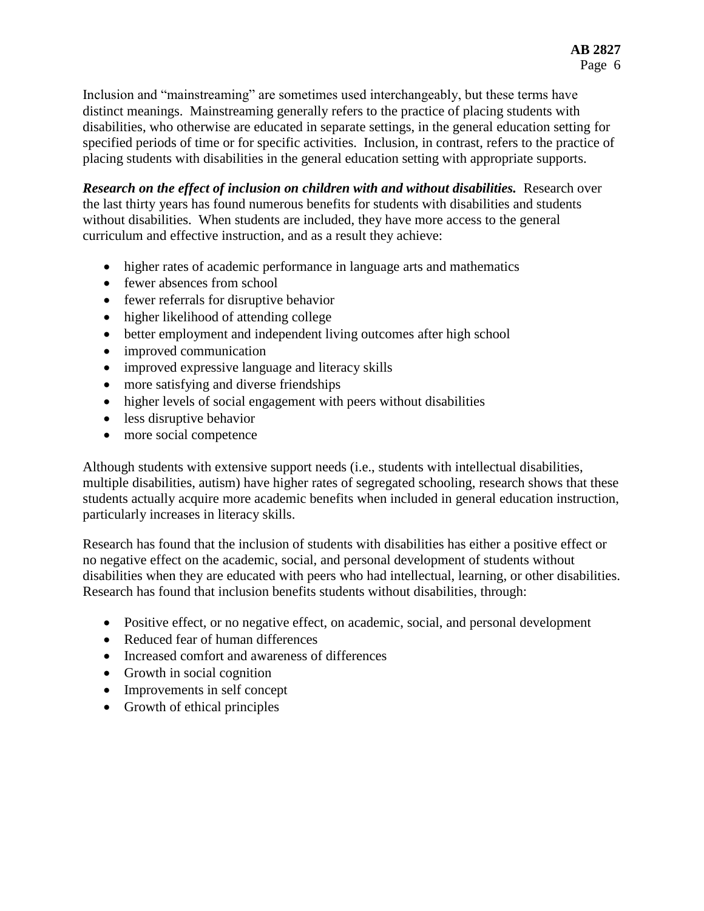Inclusion and "mainstreaming" are sometimes used interchangeably, but these terms have distinct meanings. Mainstreaming generally refers to the practice of placing students with disabilities, who otherwise are educated in separate settings, in the general education setting for specified periods of time or for specific activities. Inclusion, in contrast, refers to the practice of placing students with disabilities in the general education setting with appropriate supports.

*Research on the effect of inclusion on children with and without disabilities.* Research over the last thirty years has found numerous benefits for students with disabilities and students without disabilities. When students are included, they have more access to the general curriculum and effective instruction, and as a result they achieve:

- higher rates of academic performance in language arts and mathematics
- fewer absences from school
- fewer referrals for disruptive behavior
- higher likelihood of attending college
- better employment and independent living outcomes after high school
- improved communication
- improved expressive language and literacy skills
- more satisfying and diverse friendships
- higher levels of social engagement with peers without disabilities
- less disruptive behavior
- more social competence

Although students with extensive support needs (i.e., students with intellectual disabilities, multiple disabilities, autism) have higher rates of segregated schooling, research shows that these students actually acquire more academic benefits when included in general education instruction, particularly increases in literacy skills.

Research has found that the inclusion of students with disabilities has either a positive effect or no negative effect on the academic, social, and personal development of students without disabilities when they are educated with peers who had intellectual, learning, or other disabilities. Research has found that inclusion benefits students without disabilities, through:

- Positive effect, or no negative effect, on academic, social, and personal development
- Reduced fear of human differences
- Increased comfort and awareness of differences
- Growth in social cognition
- Improvements in self concept
- Growth of ethical principles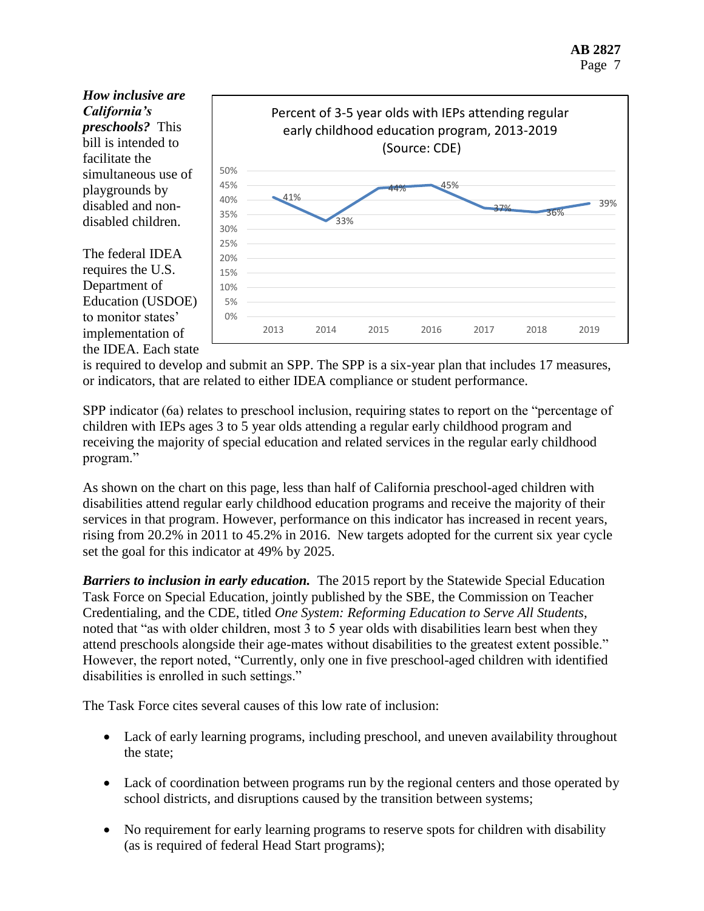*How inclusive are California's preschools?* This bill is intended to facilitate the simultaneous use of playgrounds by disabled and nondisabled children.



The federal IDEA requires the U.S. Department of Education (USDOE) to monitor states' implementation of the IDEA. Each state

is required to develop and submit an SPP. The SPP is a six-year plan that includes 17 measures, or indicators, that are related to either IDEA compliance or student performance.

SPP indicator (6a) relates to preschool inclusion, requiring states to report on the "percentage of children with IEPs ages 3 to 5 year olds attending a regular early childhood program and receiving the majority of special education and related services in the regular early childhood program."

As shown on the chart on this page, less than half of California preschool-aged children with disabilities attend regular early childhood education programs and receive the majority of their services in that program. However, performance on this indicator has increased in recent years, rising from 20.2% in 2011 to 45.2% in 2016. New targets adopted for the current six year cycle set the goal for this indicator at 49% by 2025.

*Barriers to inclusion in early education.* The 2015 report by the Statewide Special Education Task Force on Special Education, jointly published by the SBE, the Commission on Teacher Credentialing, and the CDE, titled *One System: Reforming Education to Serve All Students*, noted that "as with older children, most 3 to 5 year olds with disabilities learn best when they attend preschools alongside their age-mates without disabilities to the greatest extent possible." However, the report noted, "Currently, only one in five preschool-aged children with identified disabilities is enrolled in such settings."

The Task Force cites several causes of this low rate of inclusion:

- Lack of early learning programs, including preschool, and uneven availability throughout the state;
- Lack of coordination between programs run by the regional centers and those operated by school districts, and disruptions caused by the transition between systems;
- No requirement for early learning programs to reserve spots for children with disability (as is required of federal Head Start programs);